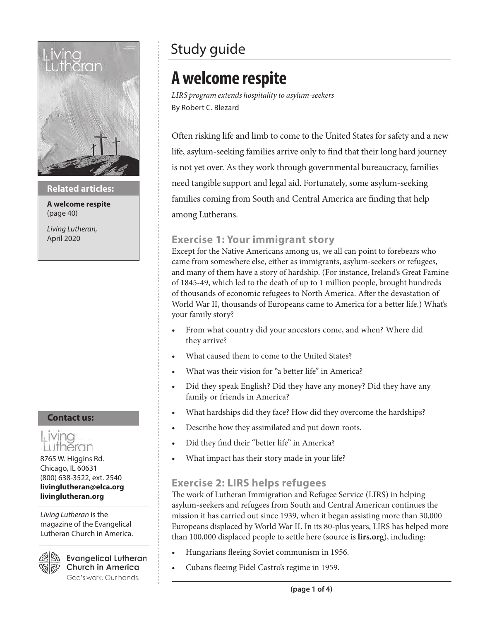

#### **Related articles:**

**A welcome respite**  (page 40)

*Living Lutheran,* April 2020

#### **Contact us:**

# Living utheran

8765 W. Higgins Rd. Chicago, IL 60631 (800) 638-3522, ext. 2540 **livinglutheran@elca.org livinglutheran.org**

*Living Lutheran* is the magazine of the Evangelical Lutheran Church in America.



Bi Evangelical Lutheran **Church in America** God's work. Our hands.

# Study guide

# **A welcome respite**

*LIRS program extends hospitality to asylum-seekers* By Robert C. Blezard

Often risking life and limb to come to the United States for safety and a new life, asylum-seeking families arrive only to find that their long hard journey is not yet over. As they work through governmental bureaucracy, families need tangible support and legal aid. Fortunately, some asylum-seeking families coming from South and Central America are finding that help among Lutherans.

## **Exercise 1: Your immigrant story**

Except for the Native Americans among us, we all can point to forebears who came from somewhere else, either as immigrants, asylum-seekers or refugees, and many of them have a story of hardship. (For instance, Ireland's Great Famine of 1845-49, which led to the death of up to 1 million people, brought hundreds of thousands of economic refugees to North America. After the devastation of World War II, thousands of Europeans came to America for a better life.) What's your family story?

- From what country did your ancestors come, and when? Where did they arrive?
- What caused them to come to the United States?
- What was their vision for "a better life" in America?
- Did they speak English? Did they have any money? Did they have any family or friends in America?
- What hardships did they face? How did they overcome the hardships?
- Describe how they assimilated and put down roots.
- Did they find their "better life" in America?
- What impact has their story made in your life?

## **Exercise 2: LIRS helps refugees**

The work of Lutheran Immigration and Refugee Service (LIRS) in helping asylum-seekers and refugees from South and Central American continues the mission it has carried out since 1939, when it began assisting more than 30,000 Europeans displaced by World War II. In its 80-plus years, LIRS has helped more than 100,000 displaced people to settle here (source is **lirs.org**), including:

- Hungarians fleeing Soviet communism in 1956.
- Cubans fleeing Fidel Castro's regime in 1959.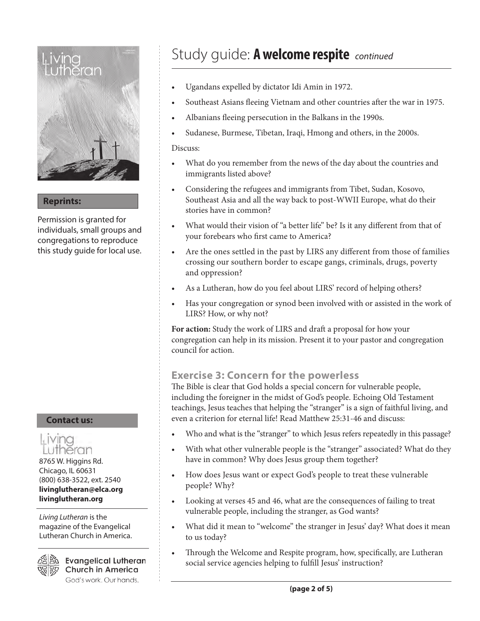

#### **Reprints:**

Permission is granted for individuals, small groups and congregations to reproduce this study guide for local use.

**Contact us:**



8765 W. Higgins Rd. Chicago, IL 60631 (800) 638-3522, ext. 2540 **livinglutheran@elca.org livinglutheran.org**

*Living Lutheran* is the magazine of the Evangelical Lutheran Church in America.



So Evangelical Lutheran **Church in America** God's work. Our hands.

# Study guide: **A welcome respite** *continued*

- Ugandans expelled by dictator Idi Amin in 1972.
- Southeast Asians fleeing Vietnam and other countries after the war in 1975.
- Albanians fleeing persecution in the Balkans in the 1990s.
- Sudanese, Burmese, Tibetan, Iraqi, Hmong and others, in the 2000s.

#### Discuss:

- What do you remember from the news of the day about the countries and immigrants listed above?
- Considering the refugees and immigrants from Tibet, Sudan, Kosovo, Southeast Asia and all the way back to post-WWII Europe, what do their stories have in common?
- What would their vision of "a better life" be? Is it any different from that of your forebears who first came to America?
- Are the ones settled in the past by LIRS any different from those of families crossing our southern border to escape gangs, criminals, drugs, poverty and oppression?
- As a Lutheran, how do you feel about LIRS' record of helping others?
- Has your congregation or synod been involved with or assisted in the work of LIRS? How, or why not?

**For action:** Study the work of LIRS and draft a proposal for how your congregation can help in its mission. Present it to your pastor and congregation council for action.

## **Exercise 3: Concern for the powerless**

The Bible is clear that God holds a special concern for vulnerable people, including the foreigner in the midst of God's people. Echoing Old Testament teachings, Jesus teaches that helping the "stranger" is a sign of faithful living, and even a criterion for eternal life! Read Matthew 25:31-46 and discuss:

- Who and what is the "stranger" to which Jesus refers repeatedly in this passage?
- With what other vulnerable people is the "stranger" associated? What do they have in common? Why does Jesus group them together?
- How does Jesus want or expect God's people to treat these vulnerable people? Why?
- Looking at verses 45 and 46, what are the consequences of failing to treat vulnerable people, including the stranger, as God wants?
- What did it mean to "welcome" the stranger in Jesus' day? What does it mean to us today?
- Through the Welcome and Respite program, how, specifically, are Lutheran social service agencies helping to fulfill Jesus' instruction?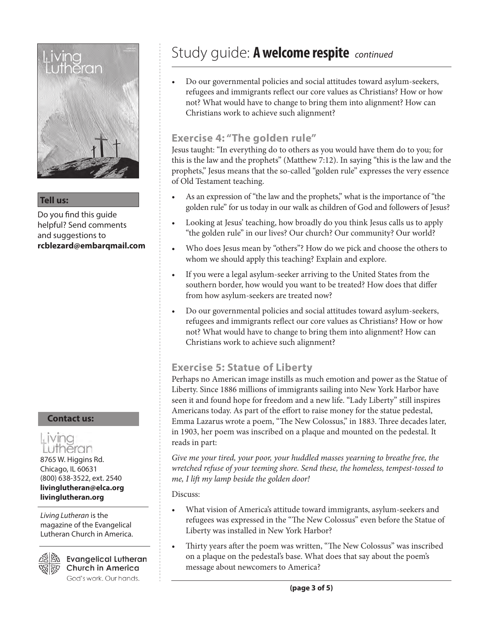

#### **Tell us:**

Do you find this guide helpful? Send comments and suggestions to **rcblezard@embarqmail.com**

#### **Contact us:**

# , ivina heran

8765 W. Higgins Rd. Chicago, IL 60631 (800) 638-3522, ext. 2540 **livinglutheran@elca.org livinglutheran.org**

*Living Lutheran* is the magazine of the Evangelical Lutheran Church in America.

288 Evangelical Lutheran **Church in America** God's work. Our hands.

# Study guide: **A welcome respite** *continued*

• Do our governmental policies and social attitudes toward asylum-seekers, refugees and immigrants reflect our core values as Christians? How or how not? What would have to change to bring them into alignment? How can Christians work to achieve such alignment?

## **Exercise 4: "The golden rule"**

Jesus taught: "In everything do to others as you would have them do to you; for this is the law and the prophets" (Matthew 7:12). In saying "this is the law and the prophets," Jesus means that the so-called "golden rule" expresses the very essence of Old Testament teaching.

- As an expression of "the law and the prophets," what is the importance of "the golden rule" for us today in our walk as children of God and followers of Jesus?
- Looking at Jesus' teaching, how broadly do you think Jesus calls us to apply "the golden rule" in our lives? Our church? Our community? Our world?
- Who does Jesus mean by "others"? How do we pick and choose the others to whom we should apply this teaching? Explain and explore.
- If you were a legal asylum-seeker arriving to the United States from the southern border, how would you want to be treated? How does that differ from how asylum-seekers are treated now?
- Do our governmental policies and social attitudes toward asylum-seekers, refugees and immigrants reflect our core values as Christians? How or how not? What would have to change to bring them into alignment? How can Christians work to achieve such alignment?

## **Exercise 5: Statue of Liberty**

Perhaps no American image instills as much emotion and power as the Statue of Liberty. Since 1886 millions of immigrants sailing into New York Harbor have seen it and found hope for freedom and a new life. "Lady Liberty" still inspires Americans today. As part of the effort to raise money for the statue pedestal, Emma Lazarus wrote a poem, "The New Colossus," in 1883. Three decades later, in 1903, her poem was inscribed on a plaque and mounted on the pedestal. It reads in part:

*Give me your tired, your poor, your huddled masses yearning to breathe free, the wretched refuse of your teeming shore. Send these, the homeless, tempest-tossed to me, I lift my lamp beside the golden door!*

#### Discuss:

- What vision of America's attitude toward immigrants, asylum-seekers and refugees was expressed in the "The New Colossus" even before the Statue of Liberty was installed in New York Harbor?
- Thirty years after the poem was written, "The New Colossus" was inscribed on a plaque on the pedestal's base. What does that say about the poem's message about newcomers to America?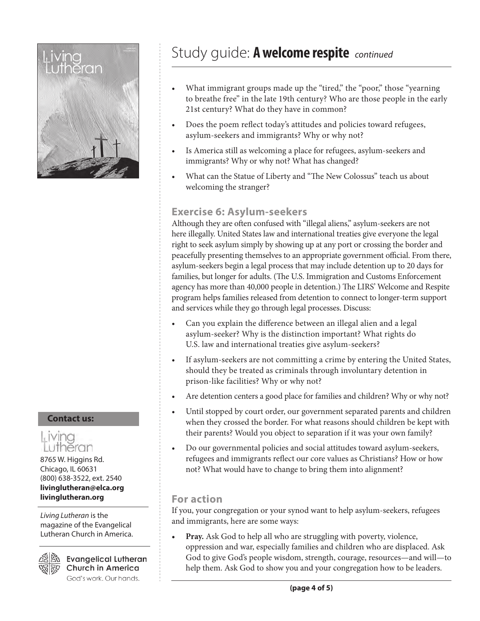

#### **Contact us:**

# l, ivina theran

8765 W. Higgins Rd. Chicago, IL 60631 (800) 638-3522, ext. 2540 **livinglutheran@elca.org livinglutheran.org**

*Living Lutheran* is the magazine of the Evangelical Lutheran Church in America.

288 Evangelical Lutheran **Church in America** God's work. Our hands.

# Study guide: **A welcome respite** *continued*

- What immigrant groups made up the "tired," the "poor," those "yearning to breathe free" in the late 19th century? Who are those people in the early 21st century? What do they have in common?
- Does the poem reflect today's attitudes and policies toward refugees, asylum-seekers and immigrants? Why or why not?
- Is America still as welcoming a place for refugees, asylum-seekers and immigrants? Why or why not? What has changed?
- What can the Statue of Liberty and "The New Colossus" teach us about welcoming the stranger?

## **Exercise 6: Asylum-seekers**

Although they are often confused with "illegal aliens," asylum-seekers are not here illegally. United States law and international treaties give everyone the legal right to seek asylum simply by showing up at any port or crossing the border and peacefully presenting themselves to an appropriate government official. From there, asylum-seekers begin a legal process that may include detention up to 20 days for families, but longer for adults. (The U.S. Immigration and Customs Enforcement agency has more than 40,000 people in detention.) The LIRS' Welcome and Respite program helps families released from detention to connect to longer-term support and services while they go through legal processes. Discuss:

- Can you explain the difference between an illegal alien and a legal asylum-seeker? Why is the distinction important? What rights do U.S. law and international treaties give asylum-seekers?
- If asylum-seekers are not committing a crime by entering the United States, should they be treated as criminals through involuntary detention in prison-like facilities? Why or why not?
- Are detention centers a good place for families and children? Why or why not?
- Until stopped by court order, our government separated parents and children when they crossed the border. For what reasons should children be kept with their parents? Would you object to separation if it was your own family?
- Do our governmental policies and social attitudes toward asylum-seekers, refugees and immigrants reflect our core values as Christians? How or how not? What would have to change to bring them into alignment?

# **For action**

If you, your congregation or your synod want to help asylum-seekers, refugees and immigrants, here are some ways:

**• Pray.** Ask God to help all who are struggling with poverty, violence, oppression and war, especially families and children who are displaced. Ask God to give God's people wisdom, strength, courage, resources—and will—to help them. Ask God to show you and your congregation how to be leaders.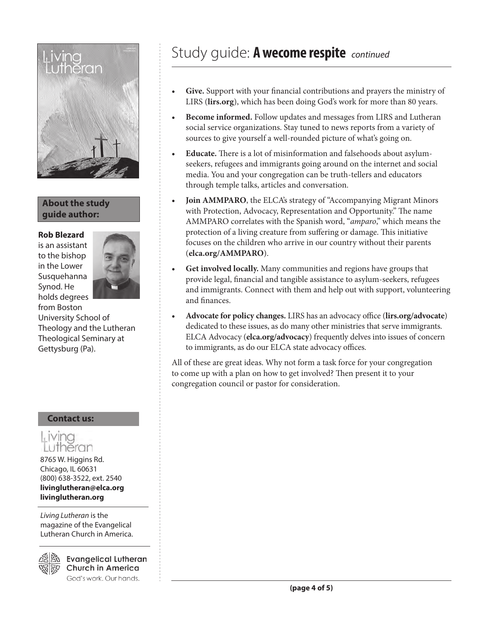

## **About the study guide author:**

**Rob Blezard**  is an assistant to the bishop in the Lower Susquehanna

Synod. He holds degrees



from Boston University School of Theology and the Lutheran Theological Seminary at Gettysburg (Pa).

#### **Contact us:**

l<sub>i</sub> ivina Lutheran

8765 W. Higgins Rd. Chicago, IL 60631 (800) 638-3522, ext. 2540 **livinglutheran@elca.org livinglutheran.org**

*Living Lutheran* is the magazine of the Evangelical Lutheran Church in America.

288 Evangelical Lutheran **Church in America** God's work. Our hands.

# Study guide: **A wecome respite** *continued*

- **• Give.** Support with your financial contributions and prayers the ministry of LIRS (**lirs.org**), which has been doing God's work for more than 80 years.
- **• Become informed.** Follow updates and messages from LIRS and Lutheran social service organizations. Stay tuned to news reports from a variety of sources to give yourself a well-rounded picture of what's going on.
- **• Educate.** There is a lot of misinformation and falsehoods about asylumseekers, refugees and immigrants going around on the internet and social media. You and your congregation can be truth-tellers and educators through temple talks, articles and conversation.
- **• Join AMMPARO**, the ELCA's strategy of "Accompanying Migrant Minors with Protection, Advocacy, Representation and Opportunity." The name AMMPARO correlates with the Spanish word, "*amparo*," which means the protection of a living creature from suffering or damage. This initiative focuses on the children who arrive in our country without their parents (**elca.org/AMMPARO**).
- **• Get involved locally.** Many communities and regions have groups that provide legal, financial and tangible assistance to asylum-seekers, refugees and immigrants. Connect with them and help out with support, volunteering and finances.
- **• Advocate for policy changes.** LIRS has an advocacy office (**lirs.org/advocate**) dedicated to these issues, as do many other ministries that serve immigrants. ELCA Advocacy (**elca.org/advocacy**) frequently delves into issues of concern to immigrants, as do our ELCA state advocacy offices.

All of these are great ideas. Why not form a task force for your congregation to come up with a plan on how to get involved? Then present it to your congregation council or pastor for consideration.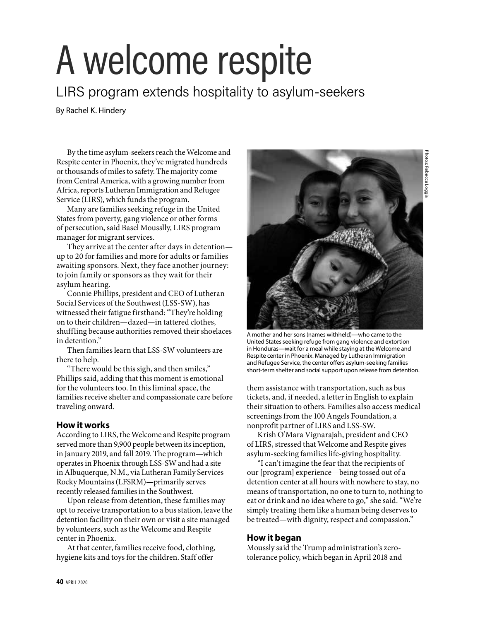# A welcome respite

LIRS program extends hospitality to asylum-seekers

By Rachel K. Hindery

By the time asylum-seekers reach the Welcome and Respite center in Phoenix, they've migrated hundreds or thousands of miles to safety. The majority come from Central America, with a growing number from Africa, reports Lutheran Immigration and Refugee Service (LIRS), which funds the program.

Many are families seeking refuge in the United States from poverty, gang violence or other forms of persecution, said Basel Mousslly, LIRS program manager for migrant services.

They arrive at the center after days in detention up to 20 for families and more for adults or families awaiting sponsors. Next, they face another journey: to join family or sponsors as they wait for their asylum hearing.

Connie Phillips, president and CEO of Lutheran Social Services of the Southwest (LSS-SW), has witnessed their fatigue firsthand: "They're holding on to their children—dazed—in tattered clothes, shuffling because authorities removed their shoelaces in detention."

Then families learn that LSS-SW volunteers are there to help.

"There would be this sigh, and then smiles," Phillips said, adding that this moment is emotional for the volunteers too. In this liminal space, the families receive shelter and compassionate care before traveling onward.

#### **How it works**

According to LIRS, the Welcome and Respite program served more than 9,900 people between its inception, in January 2019, and fall 2019. The program—which operates in Phoenix through LSS-SW and had a site in Albuquerque, N.M., via Lutheran Family Services Rocky Mountains (LFSRM)—primarily serves recently released families in the Southwest.

Upon release from detention, these families may opt to receive transportation to a bus station, leave the detention facility on their own or visit a site managed by volunteers, such as the Welcome and Respite center in Phoenix.

At that center, families receive food, clothing, hygiene kits and toys for the children. Staff offer



A mother and her sons (names withheld)—who came to the United States seeking refuge from gang violence and extortion in Honduras—wait for a meal while staying at the Welcome and Respite center in Phoenix. Managed by Lutheran Immigration and Refugee Service, the center offers asylum-seeking families short-term shelter and social support upon release from detention.

them assistance with transportation, such as bus tickets, and, if needed, a letter in English to explain their situation to others. Families also access medical screenings from the 100 Angels Foundation, a nonprofit partner of LIRS and LSS-SW.

Krish O'Mara Vignarajah, president and CEO of LIRS, stressed that Welcome and Respite gives asylum-seeking families life-giving hospitality.

"I can't imagine the fear that the recipients of our [program] experience—being tossed out of a detention center at all hours with nowhere to stay, no means of transportation, no one to turn to, nothing to eat or drink and no idea where to go," she said. "We're simply treating them like a human being deserves to be treated—with dignity, respect and compassion."

#### **How it began**

Moussly said the Trump administration's zerotolerance policy, which began in April 2018 and